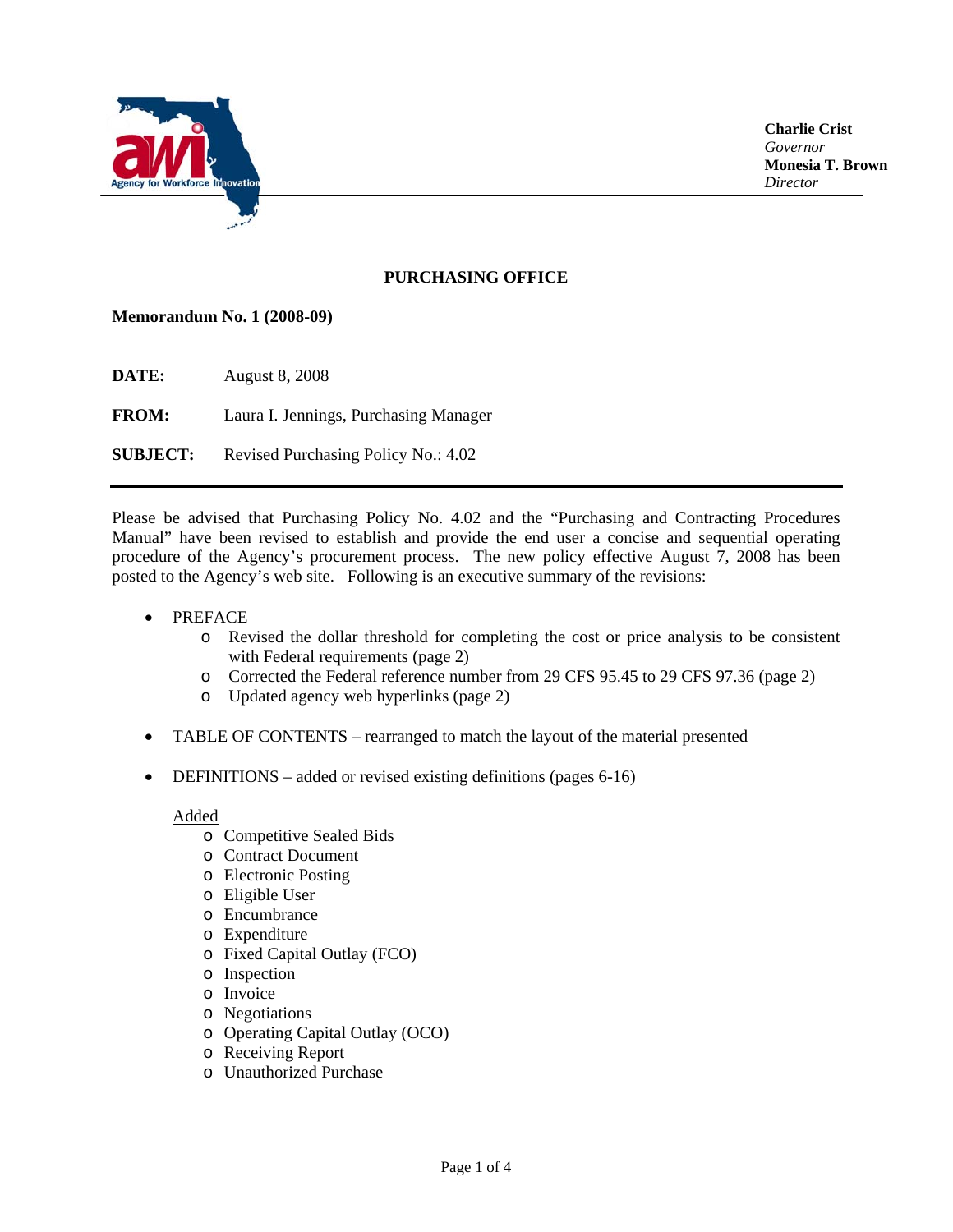

**Charlie Crist**  *Governor*  **Monesia T. Brown**  *Director* 

# **PURCHASING OFFICE**

#### **Memorandum No. 1 (2008-09)**

**DATE:** August 8, 2008

**FROM:** Laura I. Jennings, Purchasing Manager

**SUBJECT:** Revised Purchasing Policy No.: 4.02

Please be advised that Purchasing Policy No. 4.02 and the "Purchasing and Contracting Procedures Manual" have been revised to establish and provide the end user a concise and sequential operating procedure of the Agency's procurement process. The new policy effective August 7, 2008 has been posted to the Agency's web site. Following is an executive summary of the revisions:

- PREFACE
	- o Revised the dollar threshold for completing the cost or price analysis to be consistent with Federal requirements (page 2)
	- o Corrected the Federal reference number from 29 CFS 95.45 to 29 CFS 97.36 (page 2)
	- o Updated agency web hyperlinks (page 2)
- TABLE OF CONTENTS rearranged to match the layout of the material presented
- DEFINITIONS added or revised existing definitions (pages 6-16)

Added

- o Competitive Sealed Bids
- o Contract Document
- o Electronic Posting
- o Eligible User
- o Encumbrance
- o Expenditure
- o Fixed Capital Outlay (FCO)
- o Inspection
- o Invoice
- o Negotiations
- o Operating Capital Outlay (OCO)
- o Receiving Report
- o Unauthorized Purchase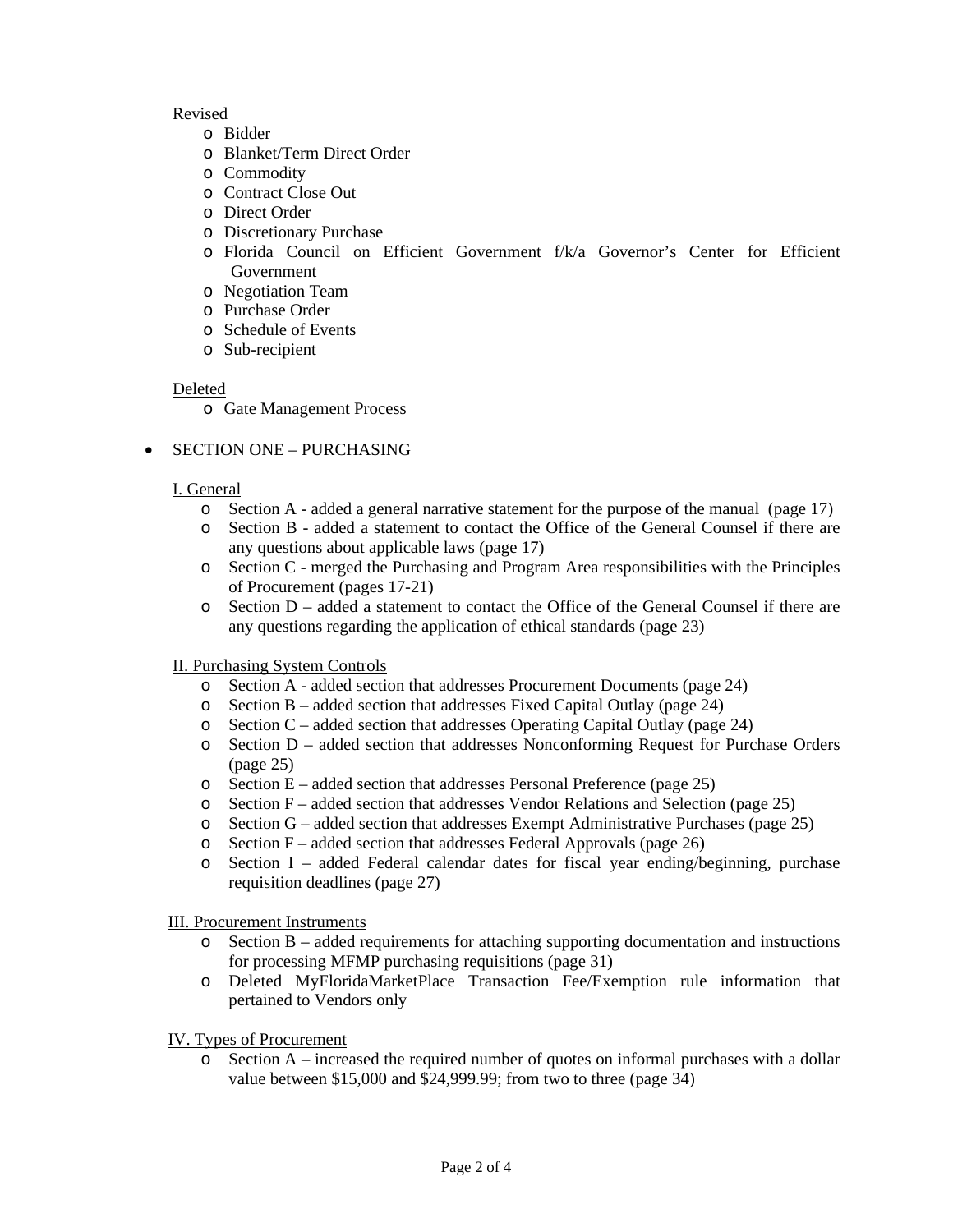## Revised

- o Bidder
- o Blanket/Term Direct Order
- o Commodity
- o Contract Close Out
- o Direct Order
- o Discretionary Purchase
- o Florida Council on Efficient Government f/k/a Governor's Center for Efficient Government
- o Negotiation Team
- o Purchase Order
- o Schedule of Events
- o Sub-recipient

#### Deleted

o Gate Management Process

## • SECTION ONE – PURCHASING

#### I. General

- o Section A added a general narrative statement for the purpose of the manual (page 17)
- o Section B added a statement to contact the Office of the General Counsel if there are any questions about applicable laws (page 17)
- o Section C merged the Purchasing and Program Area responsibilities with the Principles of Procurement (pages 17-21)
- o Section D added a statement to contact the Office of the General Counsel if there are any questions regarding the application of ethical standards (page 23)

## II. Purchasing System Controls

- o Section A added section that addresses Procurement Documents (page 24)
- o Section B added section that addresses Fixed Capital Outlay (page 24)
- $\circ$  Section C added section that addresses Operating Capital Outlay (page 24)
- o Section D added section that addresses Nonconforming Request for Purchase Orders (page 25)
- $\circ$  Section E added section that addresses Personal Preference (page 25)
- Section  $F -$  added section that addresses Vendor Relations and Selection (page 25)
- o Section G added section that addresses Exempt Administrative Purchases (page 25)
- o Section F added section that addresses Federal Approvals (page 26)
- o Section I added Federal calendar dates for fiscal year ending/beginning, purchase requisition deadlines (page 27)

#### III. Procurement Instruments

- o Section B added requirements for attaching supporting documentation and instructions for processing MFMP purchasing requisitions (page 31)
- o Deleted MyFloridaMarketPlace Transaction Fee/Exemption rule information that pertained to Vendors only

#### IV. Types of Procurement

Section  $A$  – increased the required number of quotes on informal purchases with a dollar value between \$15,000 and \$24,999.99; from two to three (page 34)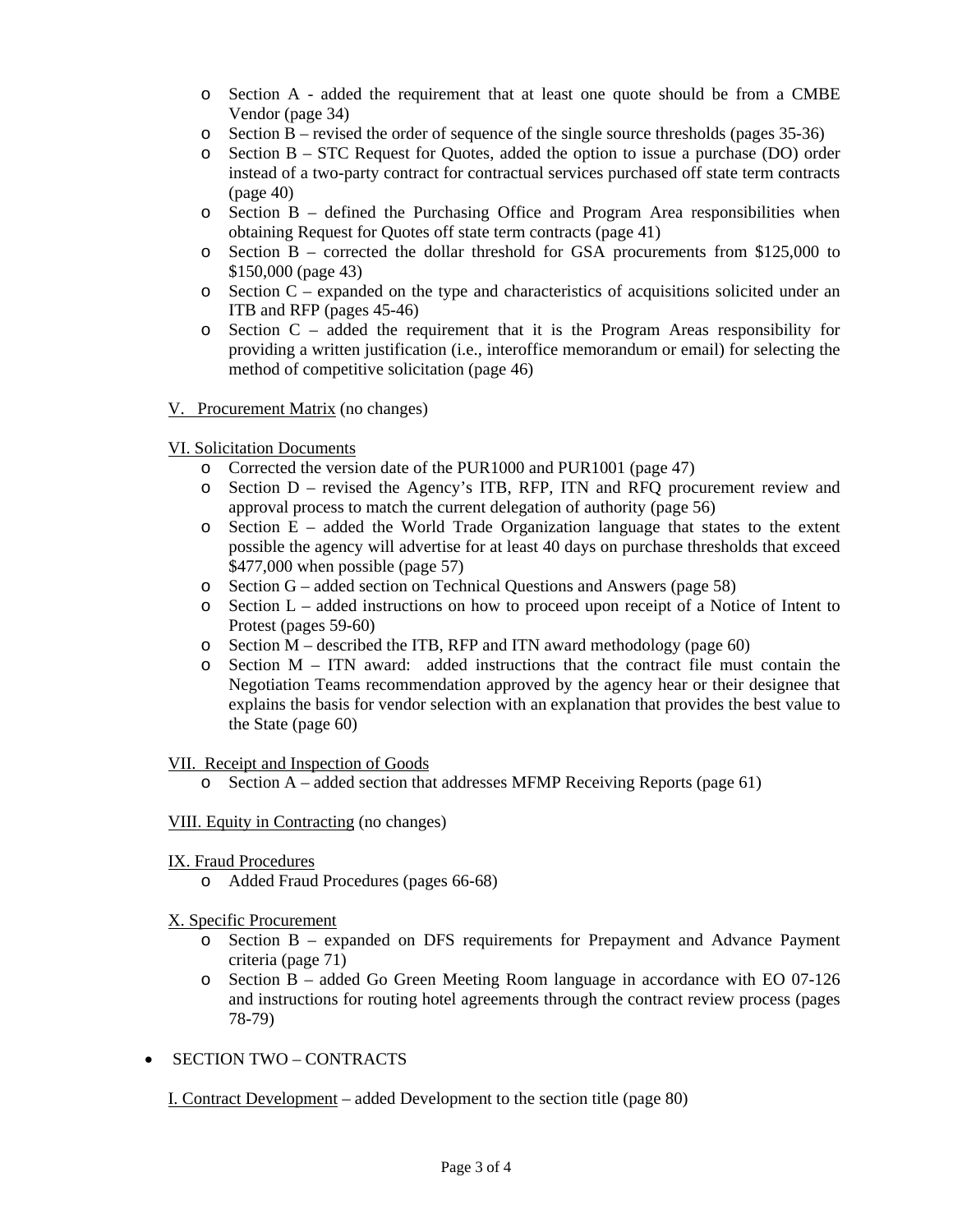- o Section A added the requirement that at least one quote should be from a CMBE Vendor (page 34)
- $\circ$  Section B revised the order of sequence of the single source thresholds (pages 35-36)
- o Section B STC Request for Quotes, added the option to issue a purchase (DO) order instead of a two-party contract for contractual services purchased off state term contracts  $(\text{page }40)$
- o Section B defined the Purchasing Office and Program Area responsibilities when obtaining Request for Quotes off state term contracts (page 41)
- o Section B corrected the dollar threshold for GSA procurements from \$125,000 to \$150,000 (page 43)
- o Section C expanded on the type and characteristics of acquisitions solicited under an ITB and RFP (pages 45-46)
- $\circ$  Section C added the requirement that it is the Program Areas responsibility for providing a written justification (i.e., interoffice memorandum or email) for selecting the method of competitive solicitation (page 46)

#### V. Procurement Matrix (no changes)

## VI. Solicitation Documents

- Corrected the version date of the PUR1000 and PUR1001 (page 47)
- o Section D revised the Agency's ITB, RFP, ITN and RFQ procurement review and approval process to match the current delegation of authority (page 56)
- $\circ$  Section E added the World Trade Organization language that states to the extent possible the agency will advertise for at least 40 days on purchase thresholds that exceed \$477,000 when possible (page 57)
- o Section G added section on Technical Questions and Answers (page 58)
- o Section L added instructions on how to proceed upon receipt of a Notice of Intent to Protest (pages 59-60)
- $\circ$  Section M described the ITB, RFP and ITN award methodology (page 60)
- $\circ$  Section M ITN award: added instructions that the contract file must contain the Negotiation Teams recommendation approved by the agency hear or their designee that explains the basis for vendor selection with an explanation that provides the best value to the State (page 60)

#### VII. Receipt and Inspection of Goods

 $\circ$  Section A – added section that addresses MFMP Receiving Reports (page 61)

#### VIII. Equity in Contracting (no changes)

- IX. Fraud Procedures
	- o Added Fraud Procedures (pages 66-68)
- X. Specific Procurement
	- o Section B expanded on DFS requirements for Prepayment and Advance Payment criteria (page 71)
	- o Section B added Go Green Meeting Room language in accordance with EO 07-126 and instructions for routing hotel agreements through the contract review process (pages 78-79)
- SECTION TWO CONTRACTS
	- I. Contract Development added Development to the section title (page 80)